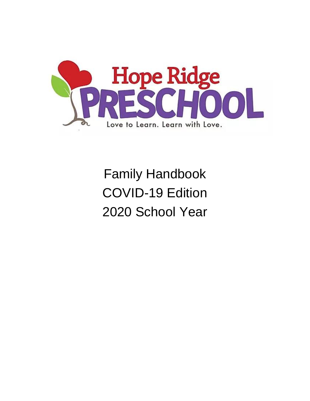

# Family Handbook COVID-19 Edition 2020 School Year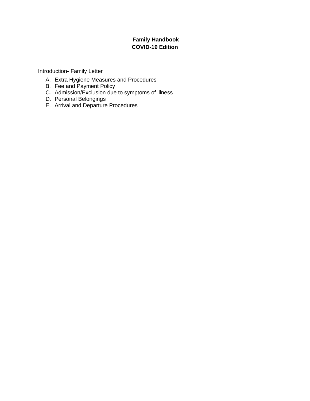#### **Family Handbook COVID-19 Edition**

Introduction- Family Letter

- A. Extra Hygiene Measures and Procedures
- B. Fee and Payment Policy
- C. Admission/Exclusion due to symptoms of illness
- D. Personal Belongings
- E. Arrival and Departure Procedures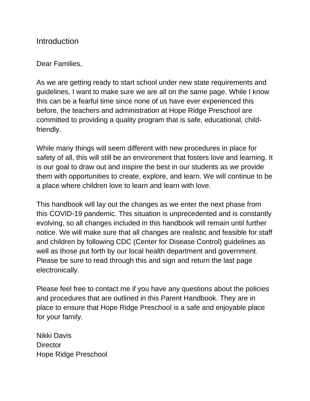#### **Introduction**

#### Dear Families,

As we are getting ready to start school under new state requirements and guidelines, I want to make sure we are all on the same page. While I know this can be a fearful time since none of us have ever experienced this before, the teachers and administration at Hope Ridge Preschool are committed to providing a quality program that is safe, educational, childfriendly.

While many things will seem different with new procedures in place for safety of all, this will still be an environment that fosters love and learning. It is our goal to draw out and inspire the best in our students as we provide them with opportunities to create, explore, and learn. We will continue to be a place where children love to learn and learn with love.

This handbook will lay out the changes as we enter the next phase from this COVID-19 pandemic. This situation is unprecedented and is constantly evolving, so all changes included in this handbook will remain until further notice. We will make sure that all changes are realistic and feasible for staff and children by following CDC (Center for Disease Control) guidelines as well as those put forth by our local health department and government. Please be sure to read through this and sign and return the last page electronically.

Please feel free to contact me if you have any questions about the policies and procedures that are outlined in this Parent Handbook. They are in place to ensure that Hope Ridge Preschool is a safe and enjoyable place for your family.

Nikki Davis **Director** Hope Ridge Preschool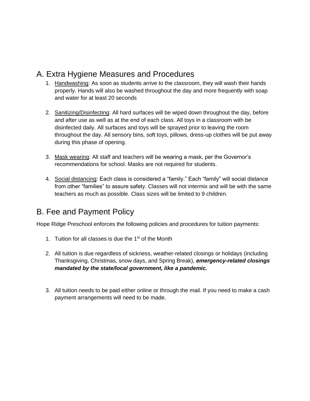## A. Extra Hygiene Measures and Procedures

- 1. Handwashing: As soon as students arrive to the classroom, they will wash their hands properly. Hands will also be washed throughout the day and more frequently with soap and water for at least 20 seconds
- 2. Sanitizing/Disinfecting: All hard surfaces will be wiped down throughout the day, before and after use as well as at the end of each class. All toys in a classroom with be disinfected daily. All surfaces and toys will be sprayed prior to leaving the room throughout the day. All sensory bins, soft toys, pillows, dress-up clothes will be put away during this phase of opening.
- 3. Mask wearing: All staff and teachers will be wearing a mask, per the Governor's recommendations for school. Masks are not required for students.
- 4. Social distancing: Each class is considered a "family." Each "family" will social distance from other "families" to assure safety. Classes will not intermix and will be with the same teachers as much as possible. Class sizes will be limited to 9 children.

## B. Fee and Payment Policy

Hope Ridge Preschool enforces the following policies and procedures for tuition payments:

- 1. Tuition for all classes is due the  $1<sup>st</sup>$  of the Month
- 2. All tuition is due regardless of sickness, weather-related closings or holidays (including Thanksgiving, Christmas, snow days, and Spring Break), *emergency-related closings mandated by the state/local government, like a pandemic.*
- 3. All tuition needs to be paid either online or through the mail. If you need to make a cash payment arrangements will need to be made.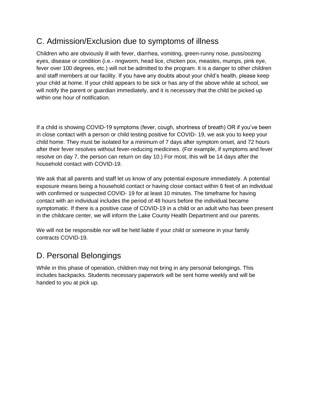## C. Admission/Exclusion due to symptoms of illness

Children who are obviously ill with fever, diarrhea, vomiting, green-runny nose, puss/oozing eyes, disease or condition (i.e.- ringworm, head lice, chicken pox, measles, mumps, pink eye, fever over 100 degrees, etc.) will not be admitted to the program. It is a danger to other children and staff members at our facility. If you have any doubts about your child's health, please keep your child at home. If your child appears to be sick or has any of the above while at school, we will notify the parent or guardian immediately, and it is necessary that the child be picked up within one hour of notification.

If a child is showing COVID-19 symptoms (fever, cough, shortness of breath) OR if you've been in close contact with a person or child testing positive for COVID- 19, we ask you to keep your child home. They must be isolated for a minimum of 7 days after symptom onset, and 72 hours after their fever resolves without fever-reducing medicines. (For example, if symptoms and fever resolve on day 7, the person can return on day 10.) For most, this will be 14 days after the household contact with COVID-19.

We ask that all parents and staff let us know of any potential exposure immediately. A potential exposure means being a household contact or having close contact within 6 feet of an individual with confirmed or suspected COVID- 19 for at least 10 minutes. The timeframe for having contact with an individual includes the period of 48 hours before the individual became symptomatic. If there is a positive case of COVID-19 in a child or an adult who has been present in the childcare center, we will inform the Lake County Health Department and our parents.

We will not be responsible nor will be held liable if your child or someone in your family contracts COVID-19.

# D. Personal Belongings

While in this phase of operation, children may not bring in any personal belongings. This includes backpacks. Students necessary paperwork will be sent home weekly and will be handed to you at pick up.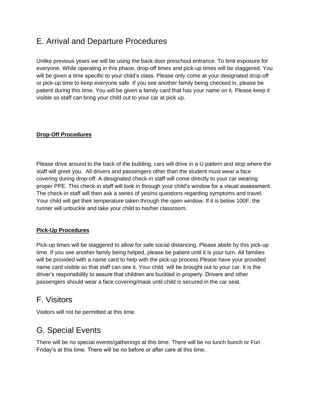## E. Arrival and Departure Procedures

Unlike previous years we will be using the back door preschool entrance. To limit exposure for everyone. While operating in this phase, drop-off times and pick-up times will be staggered. You will be given a time specific to your child's class. Please only come at your designated drop-off or pick-up time to keep everyone safe. If you see another family being checked in, please be patient during this time. You will be given a family card that has your name on it. Please keep it visible so staff can bring your child out to your car at pick up.

#### **Drop-Off Procedures**

Please drive around to the back of the building, cars will drive in a U pattern and stop where the staff will greet you. All drivers and passengers other than the student must wear a face covering during drop-off. A designated check-in staff will come directly to your car wearing proper PPE. This check-in staff will look in through your child's window for a visual assessment. The check-in staff will then ask a series of yes/no questions regarding symptoms and travel. Your child will get their temperature taken through the open window. If it is below 100F, the runner will unbuckle and take your child to his/her classroom.

#### **Pick-Up Procedures**

Pick-up times will be staggered to allow for safe social distancing. Please abide by this pick-up time. If you see another family being helped, please be patient until it is your turn. All families will be provided with a name card to help with the pick-up process Please have your provided name card visible so that staff can see it. Your child will be brought out to your car. It is the driver's responsibility to assure that children are buckled in properly. Drivers and other passengers should wear a face covering/mask until child is secured in the car seat.

#### F. Visitors

Visitors will not be permitted at this time.

#### G. Special Events

There will be no special events/gatherings at this time. There will be no lunch bunch or Fun Friday's at this time. There will be no before or after care at this time.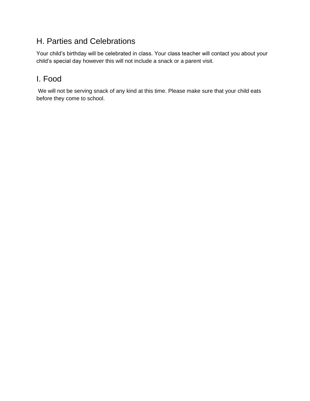# H. Parties and Celebrations

Your child's birthday will be celebrated in class. Your class teacher will contact you about your child's special day however this will not include a snack or a parent visit.

# I. Food

We will not be serving snack of any kind at this time. Please make sure that your child eats before they come to school.